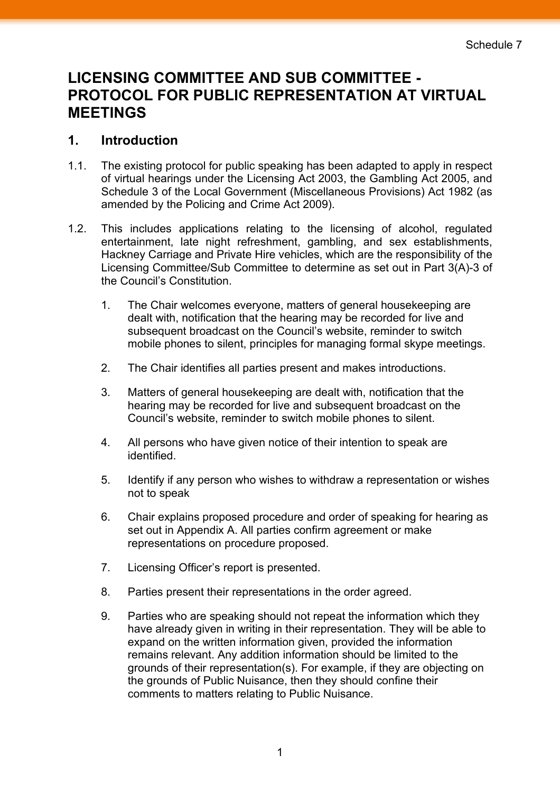## **LICENSING COMMITTEE AND SUB COMMITTEE - PROTOCOL FOR PUBLIC REPRESENTATION AT VIRTUAL MEETINGS**

## **1. Introduction**

- 1.1. The existing protocol for public speaking has been adapted to apply in respect of virtual hearings under the Licensing Act 2003, the Gambling Act 2005, and Schedule 3 of the Local Government (Miscellaneous Provisions) Act 1982 (as amended by the Policing and Crime Act 2009).
- 1.2. This includes applications relating to the licensing of alcohol, regulated entertainment, late night refreshment, gambling, and sex establishments, Hackney Carriage and Private Hire vehicles, which are the responsibility of the Licensing Committee/Sub Committee to determine as set out in Part 3(A)-3 of the Council's Constitution.
	- 1. The Chair welcomes everyone, matters of general housekeeping are dealt with, notification that the hearing may be recorded for live and subsequent broadcast on the Council's website, reminder to switch mobile phones to silent, principles for managing formal skype meetings.
	- 2. The Chair identifies all parties present and makes introductions.
	- 3. Matters of general housekeeping are dealt with, notification that the hearing may be recorded for live and subsequent broadcast on the Council's website, reminder to switch mobile phones to silent.
	- 4. All persons who have given notice of their intention to speak are identified.
	- 5. Identify if any person who wishes to withdraw a representation or wishes not to speak
	- 6. Chair explains proposed procedure and order of speaking for hearing as set out in Appendix A. All parties confirm agreement or make representations on procedure proposed.
	- 7. Licensing Officer's report is presented.
	- 8. Parties present their representations in the order agreed.
	- 9. Parties who are speaking should not repeat the information which they have already given in writing in their representation. They will be able to expand on the written information given, provided the information remains relevant. Any addition information should be limited to the grounds of their representation(s). For example, if they are objecting on the grounds of Public Nuisance, then they should confine their comments to matters relating to Public Nuisance.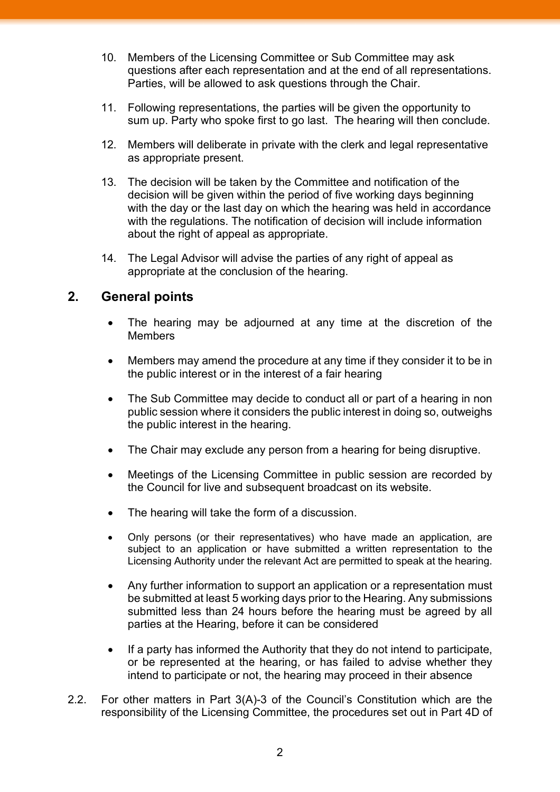- 10. Members of the Licensing Committee or Sub Committee may ask questions after each representation and at the end of all representations. Parties, will be allowed to ask questions through the Chair.
- 11. Following representations, the parties will be given the opportunity to sum up. Party who spoke first to go last. The hearing will then conclude.
- 12. Members will deliberate in private with the clerk and legal representative as appropriate present.
- 13. The decision will be taken by the Committee and notification of the decision will be given within the period of five working days beginning with the day or the last day on which the hearing was held in accordance with the regulations. The notification of decision will include information about the right of appeal as appropriate.
- 14. The Legal Advisor will advise the parties of any right of appeal as appropriate at the conclusion of the hearing.

## **2. General points**

- The hearing may be adjourned at any time at the discretion of the Members
- Members may amend the procedure at any time if they consider it to be in the public interest or in the interest of a fair hearing
- The Sub Committee may decide to conduct all or part of a hearing in non public session where it considers the public interest in doing so, outweighs the public interest in the hearing.
- The Chair may exclude any person from a hearing for being disruptive.
- Meetings of the Licensing Committee in public session are recorded by the Council for live and subsequent broadcast on its website.
- The hearing will take the form of a discussion.
- Only persons (or their representatives) who have made an application, are subject to an application or have submitted a written representation to the Licensing Authority under the relevant Act are permitted to speak at the hearing.
- Any further information to support an application or a representation must be submitted at least 5 working days prior to the Hearing. Any submissions submitted less than 24 hours before the hearing must be agreed by all parties at the Hearing, before it can be considered
- If a party has informed the Authority that they do not intend to participate, or be represented at the hearing, or has failed to advise whether they intend to participate or not, the hearing may proceed in their absence
- 2.2. For other matters in Part 3(A)-3 of the Council's Constitution which are the responsibility of the Licensing Committee, the procedures set out in Part 4D of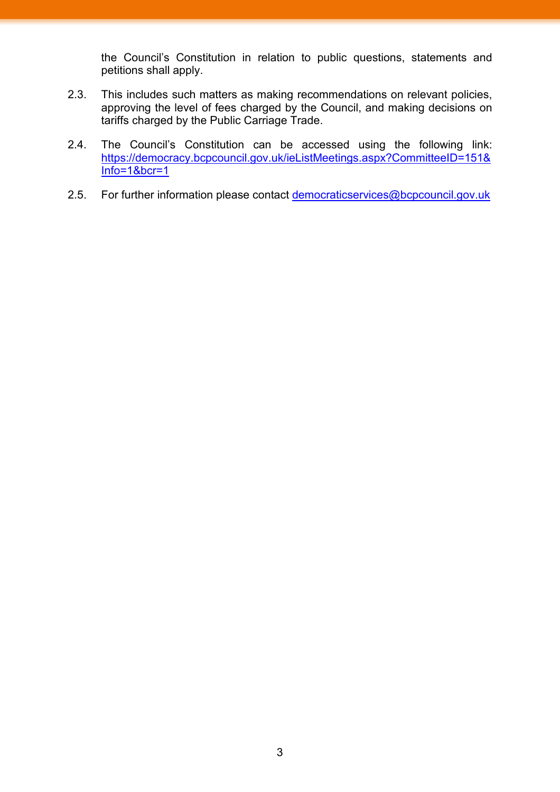the Council's Constitution in relation to public questions, statements and petitions shall apply.

- 2.3. This includes such matters as making recommendations on relevant policies, approving the level of fees charged by the Council, and making decisions on tariffs charged by the Public Carriage Trade.
- 2.4. The Council's Constitution can be accessed using the following link: [https://democracy.bcpcouncil.gov.uk/ieListMeetings.aspx?CommitteeID=151&](https://democracy.bcpcouncil.gov.uk/ieListMeetings.aspx?CommitteeID=151&Info=1&bcr=1) [Info=1&bcr=1](https://democracy.bcpcouncil.gov.uk/ieListMeetings.aspx?CommitteeID=151&Info=1&bcr=1)
- 2.5. For further information please contact [democraticservices@bcpcouncil.gov.uk](mailto:democraticservices@bcpcouncil.gov.uk)